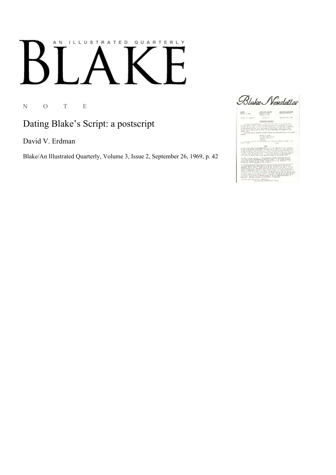## ILLUSTRATED QUARTERLY A N

N O T E

Dating Blake's Script: a postscript

David V. Erdman

Blake/An Illustrated Quarterly, Volume 3, Issue 2, September 26, 1969, p. 42

Blake Newsletter

 $\frac{40002447}{60000426}\frac{42470}{6007}$